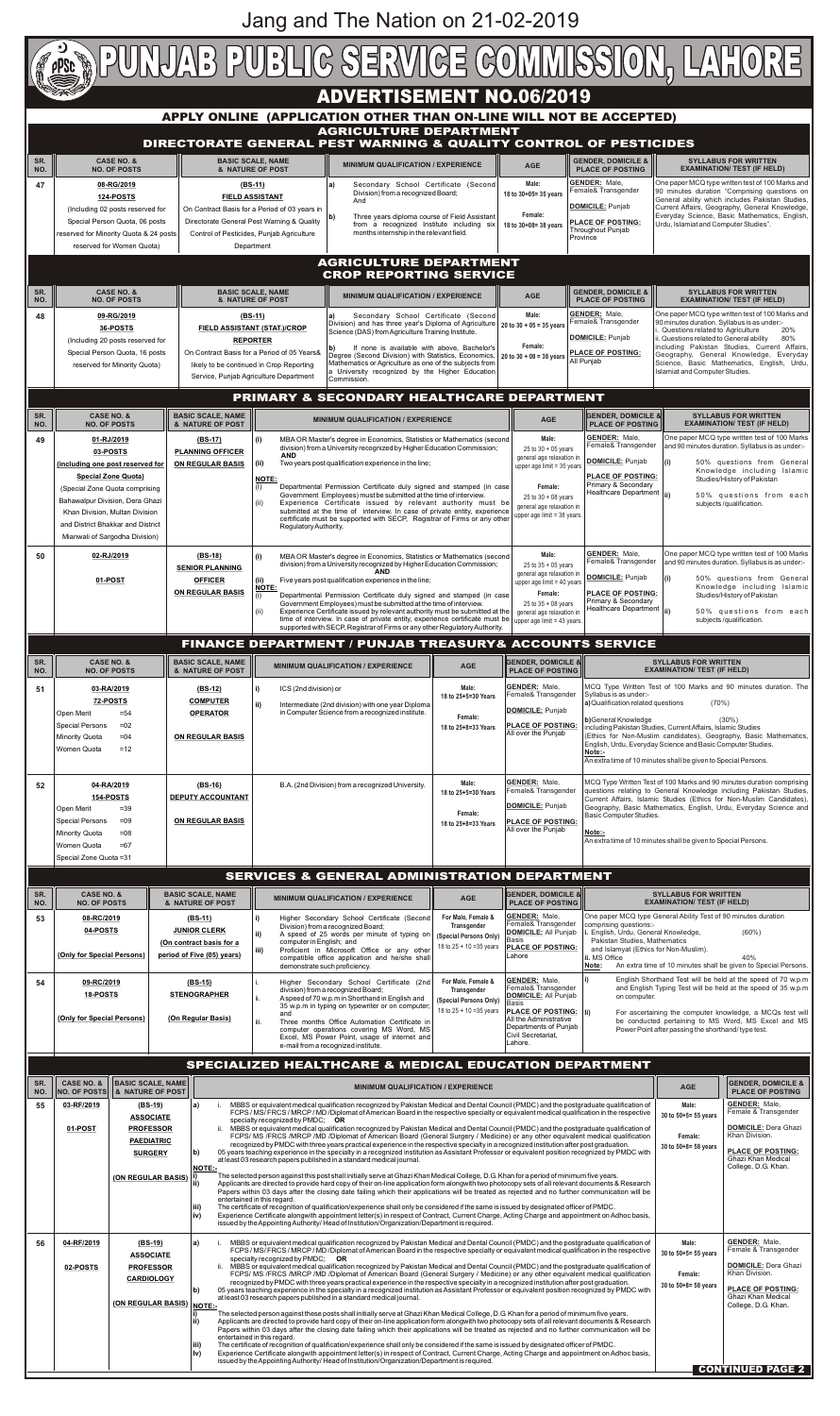| SR.<br>NO. | <b>CASE NO. &amp;</b>  | <b>BASIC SCALE, NAME</b><br><b>INO. OF POSTSI   &amp; NATURE OF POST</b>                                     | <b>MINIMUM QUALIFICATION / EXPERIENCE</b>                                                                                                                                                                                                                                                                                                                                                                                                                                                                                                                                                                                                                                                                                                                                                                                                                                                                                                                                                                                                                                                                                                                                                                                                                                                                                                                                                                                                                                                                                                                                                                                                                                                                                                                                                                                                                                                                  | <b>AGE</b>                                                       | <b>GENDER, DOMICILE &amp;</b><br><b>PLACE OF POSTING</b>                                                                                                                                                 |
|------------|------------------------|--------------------------------------------------------------------------------------------------------------|------------------------------------------------------------------------------------------------------------------------------------------------------------------------------------------------------------------------------------------------------------------------------------------------------------------------------------------------------------------------------------------------------------------------------------------------------------------------------------------------------------------------------------------------------------------------------------------------------------------------------------------------------------------------------------------------------------------------------------------------------------------------------------------------------------------------------------------------------------------------------------------------------------------------------------------------------------------------------------------------------------------------------------------------------------------------------------------------------------------------------------------------------------------------------------------------------------------------------------------------------------------------------------------------------------------------------------------------------------------------------------------------------------------------------------------------------------------------------------------------------------------------------------------------------------------------------------------------------------------------------------------------------------------------------------------------------------------------------------------------------------------------------------------------------------------------------------------------------------------------------------------------------------|------------------------------------------------------------------|----------------------------------------------------------------------------------------------------------------------------------------------------------------------------------------------------------|
| 55         | 03-RF/2019<br>01-POST  | (BS-19)<br><b>ASSOCIATE</b><br><b>PROFESSOR</b><br><b>PAEDIATRIC</b><br><b>SURGERY</b><br>(ON REGULAR BASIS) | MBBS or equivalent medical qualification recognized by Pakistan Medical and Dental Council (PMDC) and the postgraduate qualification of<br>a)<br>FCPS / MS/ FRCS / MRCP / MD /Diplomat of American Board in the respective specialty or equivalent medical qualification in the respective<br>specialty recognized by $PMDC$ ; OR<br>MBBS or equivalent medical qualification recognized by Pakistan Medical and Dental Council (PMDC) and the postgraduate qualification of<br>FCPS/ MS /FRCS /MRCP /MD /Diplomat of American Board (General Surgery / Medicine) or any other equivalent medical qualification<br>recognized by PMDC with three years practical experience in the respective specialty in a recognized institution after post graduation.<br>05 years teaching experience in the specialty in a recognized institution as Assistant Professor or equivalent position recognized by PMDC with<br>b)<br>at least 03 research papers published in a standard medical journal.<br><b>NOTE:-</b><br>The selected person against this post shall initially serve at Ghazi Khan Medical College, D.G. Khan for a period of minimum five years.<br>Applicants are directed to provide hard copy of their on-line application form alongwith two photocopy sets of all relevant documents & Research<br>Papers within 03 days after the closing date failing which their applications will be treated as rejected and no further communication will be<br>entertained in this regard.<br>l iii)<br>The certificate of recognition of qualification/experience shall only be considered if the same is issued by designated officer of PMDC.<br>Experience Certificate alongwith appointment letter(s) in respect of Contract, Current Charge, Acting Charge and appointment on Adhoc basis,<br>iv)<br>issued by the Appointing Authority/Head of Institution/Organization/Department is required.  | Male:<br>30 to 50+5= 55 years<br>Female:<br>30 to 50+8= 58 years | <b>GENDER: Male.</b><br>Female & Transgender<br><b>DOMICILE: Dera Ghazi</b><br>Khan Division.<br><b>PLACE OF POSTING:</b><br><b>Ghazi Khan Medical</b><br>College, D.G. Khan.                            |
| 56         | 04-RF/2019<br>02-POSTS | (BS-19)<br><b>ASSOCIATE</b><br><b>PROFESSOR</b><br><b>CARDIOLOGY</b><br>(ON REGULAR BASIS)   NOTE:-          | MBBS or equivalent medical qualification recognized by Pakistan Medical and Dental Council (PMDC) and the postgraduate qualification of<br>a)<br>FCPS / MS/ FRCS / MRCP / MD / Diplomat of American Board in the respective specialty or equivalent medical qualification in the respective<br>specialty recognized by $PMDC$ ; OR<br>MBBS or equivalent medical qualification recognized by Pakistan Medical and Dental Council (PMDC) and the postgraduate qualification of<br>ji.<br>FCPS/ MS /FRCS /MRCP /MD /Diplomat of American Board (General Surgery / Medicine) or any other equivalent medical qualification<br>recognized by PMDC with three years practical experience in the respective specialty in a recognized institution after post graduation.<br>05 years teaching experience in the specialty in a recognized institution as Assistant Professor or equivalent position recognized by PMDC with<br>b)<br>at least 03 research papers published in a standard medical journal.<br>The selected person against these posts shall initially serve at Ghazi Khan Medical College, D.G. Khan for a period of minimum five years.<br>Applicants are directed to provide hard copy of their on-line application form alongwith two photocopy sets of all relevant documents & Research<br>Papers within 03 days after the closing date failing which their applications will be treated as rejected and no further communication will be<br>entertained in this regard.<br>l iii)<br>The certificate of recognition of qualification/experience shall only be considered if the same is issued by designated officer of PMDC.<br>Experience Certificate alongwith appointment letter(s) in respect of Contract, Current Charge, Acting Charge and appointment on Adhoc basis,<br>$ v\rangle$<br>issued by the Appointing Authority/Head of Institution/Organization/Department is required. | Male:<br>30 to 50+5= 55 years<br>Female:<br>30 to 50+8= 58 years | <b>GENDER: Male.</b><br>Female & Transgender<br><b>DOMICILE: Dera Ghazi</b><br>Khan Division.<br><b>PLACE OF POSTING:</b><br><b>Ghazi Khan Medical</b><br>College, D.G. Khan.<br><b>CONTINUED PAGE 2</b> |

| 52 | 04-RA/2019                        | (BS-16)                  | B.A. (2nd Division) from a recognized University. | Male:               | TGENDER: Male.<br>Female& Transgender | TMCQ Type viritten Test of TOO Marks and 90 minutes duration comprising                                                                     |
|----|-----------------------------------|--------------------------|---------------------------------------------------|---------------------|---------------------------------------|---------------------------------------------------------------------------------------------------------------------------------------------|
|    | 154-POSTS                         | <b>DEPUTY ACCOUNTANT</b> |                                                   | 18 to 25+5=30 Years |                                       | questions relating to General Knowledge including Pakistan Studies,<br>Current Affairs, Islamic Studies (Ethics for Non-Muslim Candidates), |
|    | $= 39$<br>l Open Merit            |                          |                                                   | Female:             | DOMICILE: Punjab                      | Geography, Basic Mathematics, English, Urdu, Everyday Science and                                                                           |
|    | Special Persons<br>$=0.9$         | <b>ON REGULAR BASIS</b>  |                                                   | 18 to 25+8=33 Years | <b>IPLACE OF POSTING:</b>             | Basic Computer Studies.                                                                                                                     |
|    | <b>I</b> Minority Quota<br>$= 08$ |                          |                                                   |                     | All over the Puniab                   | INote:-                                                                                                                                     |
|    | l Women Quota<br>$=67$            |                          |                                                   |                     |                                       | An extra time of 10 minutes shall be given to Special Persons.                                                                              |
|    | Special Zone Quota = 31           |                          |                                                   |                     |                                       |                                                                                                                                             |

| <b>PUNJAB PUBLIG SERVIGE GOMMISSION, LAHORE</b>                                                   |                                                                                                                                                                                                                                                                                          |                                                                                  |                                                                                                                                                      |                                                                                                                                                                                                                                                                                                                                                                                                                                                      |                                |                                                                                                                                                              |                                                                                                                                                  |                                                                                                                                                                                                                                                                                |  |  |
|---------------------------------------------------------------------------------------------------|------------------------------------------------------------------------------------------------------------------------------------------------------------------------------------------------------------------------------------------------------------------------------------------|----------------------------------------------------------------------------------|------------------------------------------------------------------------------------------------------------------------------------------------------|------------------------------------------------------------------------------------------------------------------------------------------------------------------------------------------------------------------------------------------------------------------------------------------------------------------------------------------------------------------------------------------------------------------------------------------------------|--------------------------------|--------------------------------------------------------------------------------------------------------------------------------------------------------------|--------------------------------------------------------------------------------------------------------------------------------------------------|--------------------------------------------------------------------------------------------------------------------------------------------------------------------------------------------------------------------------------------------------------------------------------|--|--|
| <b>ADVERTISEMENT NO.06/2019</b>                                                                   |                                                                                                                                                                                                                                                                                          |                                                                                  |                                                                                                                                                      |                                                                                                                                                                                                                                                                                                                                                                                                                                                      |                                |                                                                                                                                                              |                                                                                                                                                  |                                                                                                                                                                                                                                                                                |  |  |
|                                                                                                   | APPLY ONLINE (APPLICATION OTHER THAN ON-LINE WILL NOT BE ACCEPTED)                                                                                                                                                                                                                       |                                                                                  |                                                                                                                                                      |                                                                                                                                                                                                                                                                                                                                                                                                                                                      |                                |                                                                                                                                                              |                                                                                                                                                  |                                                                                                                                                                                                                                                                                |  |  |
| <b>AGRICULTURE DEPARTMENT</b><br>DIRECTORATE GENERAL PEST WARNING & QUALITY CONTROL OF PESTICIDES |                                                                                                                                                                                                                                                                                          |                                                                                  |                                                                                                                                                      |                                                                                                                                                                                                                                                                                                                                                                                                                                                      |                                |                                                                                                                                                              |                                                                                                                                                  |                                                                                                                                                                                                                                                                                |  |  |
| SR.<br>NO.                                                                                        | <b>SYLLABUS FOR WRITTEN</b><br><b>CASE NO. &amp;</b><br><b>BASIC SCALE, NAME</b><br><b>GENDER, DOMICILE &amp;</b><br><b>MINIMUM QUALIFICATION / EXPERIENCE</b><br><b>AGE</b><br><b>PLACE OF POSTING</b><br><b>NO. OF POSTS</b><br>& NATURE OF POST<br><b>EXAMINATION/ TEST (IF HELD)</b> |                                                                                  |                                                                                                                                                      |                                                                                                                                                                                                                                                                                                                                                                                                                                                      |                                |                                                                                                                                                              |                                                                                                                                                  |                                                                                                                                                                                                                                                                                |  |  |
| 47                                                                                                | 08-RG/2019<br><b>124-POSTS</b><br>(Including 02 posts reserved for                                                                                                                                                                                                                       |                                                                                  | $(BS-11)$<br><b>FIELD ASSISTANT</b><br>On Contract Basis for a Period of 03 years in                                                                 | Secondary School Certificate (Second<br>a)<br>Division) from a recognized Board;<br>And                                                                                                                                                                                                                                                                                                                                                              |                                | Male:<br>18 to 30+05= 35 years                                                                                                                               | <b>GENDER: Male,</b><br>Female& Transgender<br><b>DOMICILE: Punjab</b>                                                                           | One paper MCQ type written test of 100 Marks and<br>90 minutes duration "Comprising questions on<br>General ability which includes Pakistan Studies,<br>Current Affairs, Geography, General Knowledge,                                                                         |  |  |
|                                                                                                   | Special Person Quota, 06 posts<br>reserved for Minority Quota & 24 posts<br>reserved for Women Quota)                                                                                                                                                                                    |                                                                                  | Directorate General Pest Warning & Quality<br>Control of Pesticides, Punjab Agriculture<br>Department                                                | Three years diploma course of Field Assistant<br>from a recognized Institute including six<br>months internship in the relevant field.                                                                                                                                                                                                                                                                                                               |                                | Female:<br>18 to 30+08= 38 years                                                                                                                             | <b>PLACE OF POSTING:</b><br>Throughout Punjab<br>Province                                                                                        | Everyday Science, Basic Mathematics, English,<br>Urdu, Islamiat and Computer Studies".                                                                                                                                                                                         |  |  |
|                                                                                                   |                                                                                                                                                                                                                                                                                          |                                                                                  |                                                                                                                                                      | <b>AGRICULTURE DEPARTMENT</b><br><b>CROP REPORTING SERVICE</b>                                                                                                                                                                                                                                                                                                                                                                                       |                                |                                                                                                                                                              |                                                                                                                                                  |                                                                                                                                                                                                                                                                                |  |  |
| SR.<br>NO.                                                                                        | <b>CASE NO. &amp;</b><br><b>NO. OF POSTS</b>                                                                                                                                                                                                                                             |                                                                                  | <b>BASIC SCALE, NAME</b><br>& NATURE OF POST                                                                                                         | <b>MINIMUM QUALIFICATION / EXPERIENCE</b>                                                                                                                                                                                                                                                                                                                                                                                                            |                                | <b>AGE</b>                                                                                                                                                   | <b>GENDER, DOMICILE &amp;</b><br><b>PLACE OF POSTING</b>                                                                                         | <b>SYLLABUS FOR WRITTEN</b><br><b>EXAMINATION/ TEST (IF HELD)</b>                                                                                                                                                                                                              |  |  |
| 48                                                                                                | 09-RG/2019<br>36-POSTS                                                                                                                                                                                                                                                                   |                                                                                  | $(BS-11)$<br>FIELD ASSISTANT (STAT.)/CROP                                                                                                            | Secondary School Certificate (Second<br>a)<br>Division) and has three year's Diploma of Agriculture<br>Science (DAS) from Agriculture Training Institute.                                                                                                                                                                                                                                                                                            |                                | Male:<br>20 to $30 + 05 = 35$ years                                                                                                                          | <b>GENDER: Male,</b><br>Female& Transgender<br>DOMICILE: Punjab                                                                                  | One paper MCQ type written test of 100 Marks and<br>90 minutes duration. Syllabus is as under:-<br>Questions related to Agriculture<br>20%                                                                                                                                     |  |  |
|                                                                                                   | (Including 20 posts reserved for<br>Special Person Quota, 16 posts<br>reserved for Minority Quota)                                                                                                                                                                                       |                                                                                  | <b>REPORTER</b><br>On Contract Basis for a Period of 05 Years&<br>likely to be continued in Crop Reporting<br>Service, Punjab Agriculture Department | If none is available with above, Bachelor's<br>Degree (Second Division) with Statistics, Economics,<br>Mathematics or Agriculture as one of the subjects from<br>a University recognized by the Higher Education<br>Commission.                                                                                                                                                                                                                      |                                | Female:<br>20 to 30 + 08 = 38 years                                                                                                                          | <b>PLACE OF POSTING:</b><br>All Punjab                                                                                                           | ii. Questions related to General ability<br>80%<br>including Pakistan Studies, Current Affairs,<br>Geography, General Knowledge, Everyday<br>Science, Basic Mathematics, English, Urdu,<br>Islamiat and Computer Studies.                                                      |  |  |
|                                                                                                   |                                                                                                                                                                                                                                                                                          |                                                                                  |                                                                                                                                                      | <b>PRIMARY &amp; SECONDARY HEALTHCARE DEPARTMENT</b>                                                                                                                                                                                                                                                                                                                                                                                                 |                                |                                                                                                                                                              |                                                                                                                                                  |                                                                                                                                                                                                                                                                                |  |  |
|                                                                                                   | <b>CASE NO. &amp;</b><br><b>BASIC SCALE, NAME</b><br><b>NO. OF POSTS</b><br>& NATURE OF POST                                                                                                                                                                                             |                                                                                  |                                                                                                                                                      |                                                                                                                                                                                                                                                                                                                                                                                                                                                      |                                |                                                                                                                                                              |                                                                                                                                                  |                                                                                                                                                                                                                                                                                |  |  |
| SR.<br>NO.                                                                                        |                                                                                                                                                                                                                                                                                          |                                                                                  |                                                                                                                                                      | <b>MINIMUM QUALIFICATION / EXPERIENCE</b>                                                                                                                                                                                                                                                                                                                                                                                                            |                                | <b>AGE</b>                                                                                                                                                   | <b>GENDER, DOMICILE &amp;</b><br><b>PLACE OF POSTING</b>                                                                                         | <b>SYLLABUS FOR WRITTEN</b><br>EXAMINATION/ TEST (IF HELD)                                                                                                                                                                                                                     |  |  |
| 49                                                                                                | 01-RJ/2019<br>03-POSTS                                                                                                                                                                                                                                                                   | $(BS-17)$<br><b>PLANNING OFFICER</b>                                             | (i)<br><b>AND</b>                                                                                                                                    | MBA OR Master's degree in Economics, Statistics or Mathematics (second<br>division) from a University recognized by Higher Education Commission;                                                                                                                                                                                                                                                                                                     |                                | Male:<br>$25$ to $30 + 05$ years<br>general age relaxation in                                                                                                | <b>GENDER: Male,</b><br>Female& Transgender                                                                                                      | One paper MCQ type written test of 100 Marks<br>and 90 minutes duration. Syllabus is as under:-                                                                                                                                                                                |  |  |
|                                                                                                   | (including one post reserved for<br><b>Special Zone Quota)</b><br>(Special Zone Quota comprising<br>Bahawalpur Division, Dera Ghazi<br>Khan Division, Multan Division                                                                                                                    | <b>ON REGULAR BASIS</b>                                                          | (ii)<br>NOTE:<br>(I)<br>(ii)                                                                                                                         | Two years post qualification experience in the line;<br>Departmental Permission Certificate duly signed and stamped (in case<br>Government Employees) must be submitted at the time of interview.<br>Experience Certificate issued by relevant authority must be<br>submitted at the time of interview. In case of private entity, experience                                                                                                        |                                | upper age limit = 35 years<br>Female:<br>25 to $30 + 08$ years<br>general age relaxation in<br>upper age limit = 38 years.                                   | DOMICILE: Punjab<br><b>PLACE OF POSTING:</b><br>Primary & Secondary<br>Healthcare Department  ii)                                                | (i)<br>50% questions from General<br>Knowledge including Islamic<br>Studies/History of Pakistan<br>50% questions from each<br>subjects/qualification.                                                                                                                          |  |  |
|                                                                                                   | and District Bhakkar and District<br>Mianwali of Sargodha Division)                                                                                                                                                                                                                      |                                                                                  | Regulatory Authority.                                                                                                                                | certificate must be supported with SECP, Registrar of Firms or any other                                                                                                                                                                                                                                                                                                                                                                             |                                |                                                                                                                                                              |                                                                                                                                                  |                                                                                                                                                                                                                                                                                |  |  |
| 50                                                                                                | 02-RJ/2019<br>01-POST                                                                                                                                                                                                                                                                    | $(BS-18)$<br><b>SENIOR PLANNING</b><br><b>OFFICER</b><br><b>ON REGULAR BASIS</b> | (i)<br>(ii)<br><b>NOTE:</b><br>(i)<br>(ii)                                                                                                           | MBA OR Master's degree in Economics, Statistics or Mathematics (second<br>division) from a University recognized by Higher Education Commission;<br><b>AND</b><br>Five years post qualification experience in the line;<br>Departmental Permission Certificate duly signed and stamped (in case<br>Government Employees) must be submitted at the time of interview.<br>Experience Certificate issued by relevant authority must be submitted at the |                                | Male:<br>$25$ to $35 + 05$ years<br>general age relaxation in<br>upper age limit = 40 years<br>Female:<br>25 to $35 + 08$ years<br>general age relaxation in | <b>GENDER: Male,</b><br>Female& Transgender<br>DOMICILE: Punjab<br><b>PLACE OF POSTING:</b><br>Primary & Secondary<br>Healthcare Department  ii) | One paper MCQ type written test of 100 Marks<br>and 90 minutes duration. Syllabus is as under:-<br>(i)<br>50% questions from General<br>Knowledge including Islamic<br>Studies/History of Pakistan<br>50% questions from each                                                  |  |  |
|                                                                                                   |                                                                                                                                                                                                                                                                                          |                                                                                  |                                                                                                                                                      | time of interview. In case of private entity, experience certificate must be<br>supported with SECP, Registrar of Firms or any other Regulatory Authority.                                                                                                                                                                                                                                                                                           |                                | upper age limit = 43 years.                                                                                                                                  |                                                                                                                                                  | subjects/qualification.                                                                                                                                                                                                                                                        |  |  |
|                                                                                                   |                                                                                                                                                                                                                                                                                          |                                                                                  |                                                                                                                                                      | <b>FINANCE DEPARTMENT / PUNJAB TREASURY&amp; ACCOUNTS SERVICE</b>                                                                                                                                                                                                                                                                                                                                                                                    |                                |                                                                                                                                                              |                                                                                                                                                  |                                                                                                                                                                                                                                                                                |  |  |
| SR.<br>NO.                                                                                        | <b>CASE NO. &amp;</b><br><b>NO. OF POSTS</b>                                                                                                                                                                                                                                             | <b>BASIC SCALE, NAME</b><br>& NATURE OF POST                                     |                                                                                                                                                      | <b>MINIMUM QUALIFICATION / EXPERIENCE</b>                                                                                                                                                                                                                                                                                                                                                                                                            | <b>AGE</b>                     | <b>GENDER, DOMICILE &amp;</b><br><b>PLACE OF POSTING</b>                                                                                                     |                                                                                                                                                  | <b>SYLLABUS FOR WRITTEN</b><br><b>EXAMINATION/ TEST (IF HELD)</b>                                                                                                                                                                                                              |  |  |
| 51                                                                                                | 03-RA/2019<br>72-POSTS                                                                                                                                                                                                                                                                   | (BS-12)<br><b>COMPUTER</b>                                                       | i)<br>ICS (2nd division) or<br>ii)                                                                                                                   | Intermediate (2nd division) with one year Diploma                                                                                                                                                                                                                                                                                                                                                                                                    | Male:<br>18 to 25+5=30 Years   | <b>GENDER:</b> Male,<br>Female& Transgender                                                                                                                  | Syllabus is as under:-<br>a) Qualification related questions                                                                                     | MCQ Type Written Test of 100 Marks and 90 minutes duration. The<br>(70%)                                                                                                                                                                                                       |  |  |
|                                                                                                   | $= 54$<br>Open Merit<br><b>Special Persons</b><br>$=02$<br>$= 04$<br>Minority Quota<br>$=12$<br>Women Quota                                                                                                                                                                              | <b>OPERATOR</b><br><b>ON REGULAR BASIS</b>                                       |                                                                                                                                                      | in Computer Science from a recognized institute.                                                                                                                                                                                                                                                                                                                                                                                                     | Female:<br>18 to 25+8=33 Years | DOMICILE: Punjab<br><b>PLACE OF POSTING:</b><br>All over the Punjab                                                                                          | b)General Knowledge<br>Note:-                                                                                                                    | $(30\%)$<br>including Pakistan Studies, Current Affairs, Islamic Studies<br>(Ethics for Non-Muslim candidates), Geography, Basic Mathematics,<br>English, Urdu, Everyday Science and Basic Computer Studies.<br>An extra time of 10 minutes shall be given to Special Persons. |  |  |

| <b>SERVICES &amp; GENERAL ADMINISTRATION DEPARTMENT</b> |                                                      |                                                                                          |                                                                                                                                                                                                                                                                                                                                                                                 |                                                                                           |                                                                                                                                                                                                     |                                                                                                                                                                                                                                                                                                                                   |  |  |
|---------------------------------------------------------|------------------------------------------------------|------------------------------------------------------------------------------------------|---------------------------------------------------------------------------------------------------------------------------------------------------------------------------------------------------------------------------------------------------------------------------------------------------------------------------------------------------------------------------------|-------------------------------------------------------------------------------------------|-----------------------------------------------------------------------------------------------------------------------------------------------------------------------------------------------------|-----------------------------------------------------------------------------------------------------------------------------------------------------------------------------------------------------------------------------------------------------------------------------------------------------------------------------------|--|--|
| SR.<br>NO.                                              | <b>CASE NO. &amp;</b><br><b>NO. OF POSTS</b>         | <b>BASIC SCALE, NAME</b><br>& NATURE OF POST                                             | <b>MINIMUM QUALIFICATION / EXPERIENCE</b>                                                                                                                                                                                                                                                                                                                                       | <b>AGE</b>                                                                                | <b>GENDER, DOMICILE &amp;II</b><br>I PLACE OF POSTING II                                                                                                                                            | <b>SYLLABUS FOR WRITTEN</b><br><b>EXAMINATION/ TEST (IF HELD)</b>                                                                                                                                                                                                                                                                 |  |  |
| 53                                                      | 08-RC/2019<br>04-POSTS<br>(Only for Special Persons) | (BS-11)<br><b>JUNIOR CLERK</b><br>(On contract basis for a<br>period of Five (05) years) | Higher Secondary School Certificate (Second<br>Division) from a recognized Board;<br>A speed of 25 words per minute of typing on<br>computer in English; and<br>Proficient in Microsoft Office or any other<br>  iii)<br>compatible office application and he/she shall<br>demonstrate such proficiency.                                                                        | For Male, Female &<br>Transgender<br>(Special Persons Only)<br>18 to $25 + 10 = 35$ years | <b>GENDER: Male,</b><br>Female& Transgender<br><b>DOMICILE: All Punjab</b><br><b>Basis</b><br><b>PLACE OF POSTING:</b><br>Lahore                                                                    | One paper MCQ type General Ability Test of 90 minutes duration<br>comprising questions:-<br>i. English, Urdu, General Knowledge,<br>$(60\%)$<br>Pakistan Studies, Mathematics<br>and Islamyat (Ethics for Non-Muslim).<br>lii. MS Office<br>40%<br>An extra time of 10 minutes shall be given to Special Persons.<br><b>Note:</b> |  |  |
| 54                                                      | 09-RC/2019<br>18-POSTS<br>(Only for Special Persons) | (BS-15)<br><b>STENOGRAPHER</b><br>(On Regular Basis)                                     | Higher Secondary School Certificate (2nd<br>division) from a recognized Board;<br>Aspeed of 70 w.p.m in Shorthand in English and<br>35 w.p.m in typing on typewriter or on computer;<br>and<br>Three months Office Automation Certificate in<br>computer operations covering MS Word, MS<br>Excel, MS Power Point, usage of internet and<br>e-mail from a recognized institute. | For Male, Female &<br>Transgender<br>(Special Persons Only)<br>18 to $25 + 10 = 35$ years | <b>GENDER: Male,</b><br>Female& Transgender<br><b>DOMICILE: All Punjab</b><br>Basis<br><b>PLACE OF POSTING:</b><br>All the Administrative<br>Departments of Punjab<br>Civil Secretariat,<br>Lahore. | English Shorthand Test will be held at the speed of 70 w.p.m<br>and English Typing Test will be held at the speed of 35 w.p.m<br>on computer.<br>-lli)<br>For ascertaining the computer knowledge, a MCQs test will<br>be conducted pertaining to MS Word, MS Excel and MS<br>Power Point after passing the shorthand/type test.  |  |  |

Jang and The Nation on 21-02-2019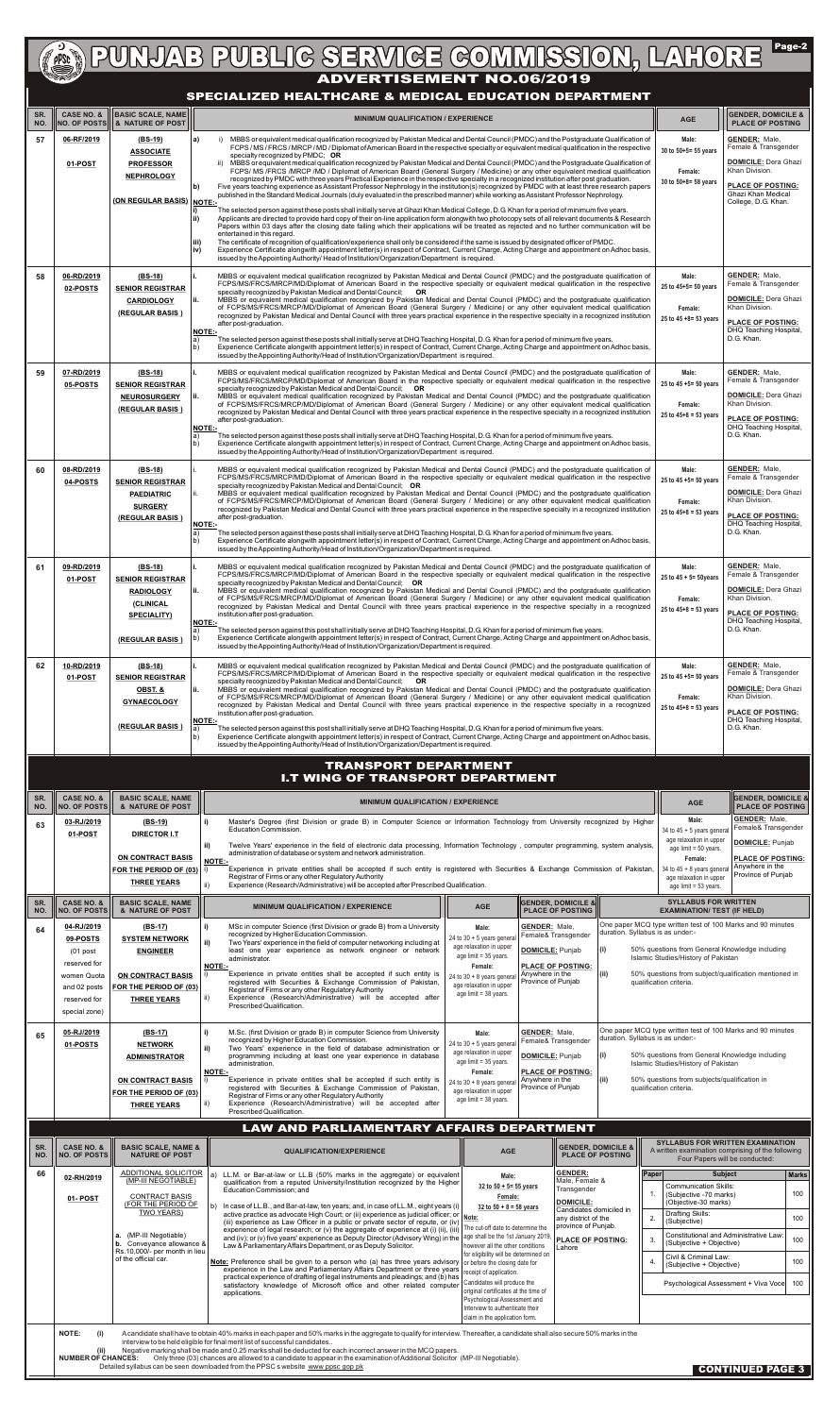Page-2 **ADVERTISEMENT NO.06/2019** NO. 1410RE

## **SPECIALIZED HEALTHCARE & MEDICAL EDUCATION DEPARTMENT**

| SR.<br>NO. |                                                                                                                                                                                                                                                                                                                                                                  | CASE NO. &   BASIC SCALE, NAME<br>NO. OF POSTS   & NATURE OF POST                              | <b>MINIMUM QUALIFICATION / EXPERIENCE</b>                                                                                                                                                                                                                                                                                                                                                                                                                                            | <b>AGE</b>                                                                                              | <b>GENDER, DOMICILE &amp;</b><br><b>PLACE OF POSTING</b>                                          |                                                                                              |                                                                                                                       |  |
|------------|------------------------------------------------------------------------------------------------------------------------------------------------------------------------------------------------------------------------------------------------------------------------------------------------------------------------------------------------------------------|------------------------------------------------------------------------------------------------|--------------------------------------------------------------------------------------------------------------------------------------------------------------------------------------------------------------------------------------------------------------------------------------------------------------------------------------------------------------------------------------------------------------------------------------------------------------------------------------|---------------------------------------------------------------------------------------------------------|---------------------------------------------------------------------------------------------------|----------------------------------------------------------------------------------------------|-----------------------------------------------------------------------------------------------------------------------|--|
| 57         | 06-RF/2019                                                                                                                                                                                                                                                                                                                                                       | (BS-19)<br><b>ASSOCIATE</b>                                                                    | MBBS or equivalent medical qualification recognized by Pakistan Medical and Dental Council (PMDC) and the Postgraduate Qualification of<br>a)<br>FCPS / MS / FRCS / MRCP / MD / Diplomat of American Board in the respective specialty or equivalent medical qualification in the respective<br>specialty recognized by PMDC; OR                                                                                                                                                     | Male:<br>30 to 50+5= 55 years                                                                           | <b>GENDER: Male,</b><br>Female & Transgender                                                      |                                                                                              |                                                                                                                       |  |
|            | 01-POST                                                                                                                                                                                                                                                                                                                                                          | <b>PROFESSOR</b><br><b>NEPHROLOGY</b>                                                          | MBBS or equivalent medical qualification recognized by Pakistan Medical and Dental Council (PMDC) and the Postgraduate Qualification of<br>FCPS/ MS /FRCS /MRCP /MD / Diplomat of American Board (General Surgery / Medicine) or any other equivalent medical qualification<br>recognized by PMDC with three years Practical Experience in the respective specialty in a recognized institution after post graduation.                                                               | Female:<br>30 to 50+8= 58 years                                                                         | <b>DOMICILE: Dera Ghazi</b><br>Khan Division.                                                     |                                                                                              |                                                                                                                       |  |
|            |                                                                                                                                                                                                                                                                                                                                                                  | (ON REGULAR BASIS) NOTE:-                                                                      | Five years teaching experience as Assistant Professor Nephrology in the institution(s) recognized by PMDC with at least three research papers<br>lb)<br>published in the Standard Medical Journals (duly evaluated in the prescribed manner) while working as Assistant Professor Nephrology.                                                                                                                                                                                        |                                                                                                         | <b>PLACE OF POSTING:</b><br>Ghazi Khan Medical<br>College, D.G. Khan.                             |                                                                                              |                                                                                                                       |  |
|            |                                                                                                                                                                                                                                                                                                                                                                  |                                                                                                | The selected person against these posts shall initially serve at Ghazi Khan Medical College, D.G. Khan for a period of minimum five years.<br>Applicants are directed to provide hard copy of their on-line application form alongwith two photocopy sets of all relevant documents & Research<br>ii)<br>Papers within 03 days after the closing date failing which their applications will be treated as rejected and no further communication will be                              |                                                                                                         |                                                                                                   |                                                                                              |                                                                                                                       |  |
|            |                                                                                                                                                                                                                                                                                                                                                                  |                                                                                                | entertained in this regard.<br>The certificate of recognition of qualification/experience shall only be considered if the same is issued by designated officer of PMDC.<br>iii)<br>Experience Certificate alongwith appointment letter(s) in respect of Contract, Current Charge, Acting Charge and appointment on Adhoc basis,<br>iv)<br>issued by the Appointing Authority/ Head of Institution/Organization/Department is required.                                               |                                                                                                         |                                                                                                   |                                                                                              |                                                                                                                       |  |
| 58         | 06-RD/2019<br>02-POSTS                                                                                                                                                                                                                                                                                                                                           | $(BS-18)$<br><b>SENIOR REGISTRAR</b>                                                           | MBBS or equivalent medical qualification recognized by Pakistan Medical and Dental Council (PMDC) and the postgraduate qualification of<br>FCPS/MS/FRCS/MRCP/MD/Diplomat of American Board in the respective specialty or equivalent medical qualification in the respective<br>specialty recognized by Pakistan Medical and Dental Council; OR                                                                                                                                      |                                                                                                         |                                                                                                   | Male:<br>25 to 45+5= 50 years                                                                | <b>GENDER: Male,</b><br>Female & Transgender<br><b>DOMICILE: Dera Ghazi</b><br>Khan Division.                         |  |
|            |                                                                                                                                                                                                                                                                                                                                                                  | <b>CARDIOLOGY</b><br>(REGULAR BASIS)                                                           | MBBS or equivalent medical qualification recognized by Pakistan Medical and Dental Council (PMDC) and the postgraduate qualification<br>ii.<br>of FCPS/MS/FRCS/MRCP/MD/Diplomat of American Board (General Surgery / Medicine) or any other equivalent medical qualification<br>recognized by Pakistan Medical and Dental Council with three years practical experience in the respective specialty in a recognized institution                                                      |                                                                                                         |                                                                                                   | Female:<br>25 to 45 +8= 53 years                                                             |                                                                                                                       |  |
|            |                                                                                                                                                                                                                                                                                                                                                                  |                                                                                                | after post-graduation.<br><b>NOTE:-</b><br>The selected person against these posts shall initially serve at DHQ Teaching Hospital, D.G. Khan for a period of minimum five years.<br>a)<br>Experience Certificate alongwith appointment letter(s) in respect of Contract, Current Charge, Acting Charge and appointment on Adhoc basis,                                                                                                                                               |                                                                                                         | <b>PLACE OF POSTING:</b><br>DHQ Teaching Hospital,<br>D.G. Khan.                                  |                                                                                              |                                                                                                                       |  |
| 59         | 07-RD/2019                                                                                                                                                                                                                                                                                                                                                       | $(BS-18)$                                                                                      | b)<br>issued by the Appointing Authority/Head of Institution/Organization/Department is required.<br>MBBS or equivalent medical qualification recognized by Pakistan Medical and Dental Council (PMDC) and the postgraduate qualification of                                                                                                                                                                                                                                         |                                                                                                         |                                                                                                   | Male:                                                                                        | <b>GENDER: Male,</b>                                                                                                  |  |
|            | 05-POSTS                                                                                                                                                                                                                                                                                                                                                         | <b>SENIOR REGISTRAR</b><br><b>NEUROSURGERY</b>                                                 | FCPS/MS/FRCS/MRCP/MD/Diplomat of American Board in the respective specialty or equivalent medical qualification in the respective<br>specialty recognized by Pakistan Medical and Dental Council; OR<br>MBBS or equivalent medical qualification recognized by Pakistan Medical and Dental Council (PMDC) and the postgraduate qualification<br>ii.                                                                                                                                  |                                                                                                         |                                                                                                   | 25 to 45 +5= 50 years                                                                        | Female & Transgender<br><b>DOMICILE: Dera Ghazi</b>                                                                   |  |
|            |                                                                                                                                                                                                                                                                                                                                                                  | (REGULAR BASIS)                                                                                | of FCPS/MS/FRCS/MRCP/MD/Diplomat of American Board (General Surgery / Medicine) or any other equivalent medical qualification<br>recognized by Pakistan Medical and Dental Council with three years practical experience in the respective specialty in a recognized institution<br>after post-graduation.                                                                                                                                                                           |                                                                                                         |                                                                                                   | Female:<br>$25$ to $45+8 = 53$ years                                                         | Khan Division.<br><b>PLACE OF POSTING:</b>                                                                            |  |
|            |                                                                                                                                                                                                                                                                                                                                                                  |                                                                                                | <b>NOTE:-</b><br>The selected person against these posts shall initially serve at DHQ Teaching Hospital, D.G. Khan for a period of minimum five years.<br>a)<br>Experience Certificate alongwith appointment letter(s) in respect of Contract, Current Charge, Acting Charge and appointment on Adhoc basis,<br>b)<br>issued by the Appointing Authority/Head of Institution/Organization/Department is required.                                                                    |                                                                                                         |                                                                                                   |                                                                                              | DHQ Teaching Hospital,<br>D.G. Khan.                                                                                  |  |
| 60         | 08-RD/2019<br>04-POSTS                                                                                                                                                                                                                                                                                                                                           | $(BS-18)$<br><b>SENIOR REGISTRAR</b>                                                           | MBBS or equivalent medical qualification recognized by Pakistan Medical and Dental Council (PMDC) and the postgraduate qualification of<br>FCPS/MS/FRCS/MRCP/MD/Diplomat of American Board in the respective specialty or equivalent medical qualification in the respective<br>specialty recognized by Pakistan Medical and Dental Council; OR                                                                                                                                      |                                                                                                         |                                                                                                   | Male:<br>25 to 45 +5= 50 years                                                               | <b>GENDER: Male,</b><br>Female & Transgender                                                                          |  |
|            |                                                                                                                                                                                                                                                                                                                                                                  | <b>PAEDIATRIC</b><br><b>SURGERY</b>                                                            | MBBS or equivalent medical qualification recognized by Pakistan Medical and Dental Council (PMDC) and the postgraduate qualification<br>of FCPS/MS/FRCS/MRCP/MD/Diplomat of American Board (General Surgery / Medicine) or any other equivalent medical qualification<br>recognized by Pakistan Medical and Dental Council with three years practical experience in the respective specialty in a recognized institution                                                             |                                                                                                         |                                                                                                   | Female:<br>$25$ to $45+8 = 53$ years                                                         | <b>DOMICILE:</b> Dera Ghazi<br>Khan Division.<br><b>PLACE OF POSTING:</b>                                             |  |
|            |                                                                                                                                                                                                                                                                                                                                                                  | (REGULAR BASIS)                                                                                | after post-graduation.<br><b>NOTE:-</b><br>The selected person against these posts shall initially serve at DHQ Teaching Hospital, D.G. Khan for a period of minimum five years.<br>a)<br>Experience Certificate alongwith appointment letter(s) in respect of Contract, Current Charge, Acting Charge and appointment on Adhoc basis,<br>b)                                                                                                                                         |                                                                                                         |                                                                                                   |                                                                                              | DHQ Teaching Hospital,<br>D.G. Khan.                                                                                  |  |
| 61         | 09-RD/2019                                                                                                                                                                                                                                                                                                                                                       | (BS-18)                                                                                        | issued by the Appointing Authority/Head of Institution/Organization/Department is required.<br>MBBS or equivalent medical qualification recognized by Pakistan Medical and Dental Council (PMDC) and the postgraduate qualification of                                                                                                                                                                                                                                               |                                                                                                         |                                                                                                   | Male:                                                                                        | <b>GENDER: Male,</b>                                                                                                  |  |
|            | 01-POST                                                                                                                                                                                                                                                                                                                                                          | <b>SENIOR REGISTRAR</b><br><b>RADIOLOGY</b>                                                    | FCPS/MS/FRCS/MRCP/MD/Diplomat of American Board in the respective specialty or equivalent medical qualification in the respective<br>specialty recognized by Pakistan Medical and Dental Council; OR<br>MBBS or equivalent medical qualification recognized by Pakistan Medical and Dental Council (PMDC) and the postgraduate qualification<br>ii.<br>of FCPS/MS/FRCS/MRCP/MD/Diplomat of American Board (General Surgery / Medicine) or any other equivalent medical qualification |                                                                                                         |                                                                                                   | 25 to $45 + 5 = 50$ years                                                                    | Female & Transgender<br><b>DOMICILE: Dera Ghazi</b><br>Khan Division.                                                 |  |
|            |                                                                                                                                                                                                                                                                                                                                                                  | <b>(CLINICAL</b><br><b>SPECIALITY)</b>                                                         | recognized by Pakistan Medical and Dental Council with three years practical experience in the respective specialty in a recognized<br>institution after post-graduation.<br><b>NOTE:-</b>                                                                                                                                                                                                                                                                                           |                                                                                                         |                                                                                                   | Female:<br>25 to $45+8 = 53$ years                                                           | <b>PLACE OF POSTING:</b><br>DHQ Teaching Hospital,                                                                    |  |
|            |                                                                                                                                                                                                                                                                                                                                                                  | (REGULAR BASIS)                                                                                | The selected person against this post shall initially serve at DHQ Teaching Hospital, D.G. Khan for a period of minimum five years.<br>a)<br>Experience Certificate alongwith appointment letter(s) in respect of Contract, Current Charge, Acting Charge and appointment on Adhoc basis,<br>b)<br>issued by the Appointing Authority/Head of Institution/Organization/Department is required.                                                                                       |                                                                                                         |                                                                                                   |                                                                                              | D.G. Khan.                                                                                                            |  |
| 62         | 10-RD/2019<br>01-POST                                                                                                                                                                                                                                                                                                                                            | (BS-18)<br><b>SENIOR REGISTRAR</b>                                                             | MBBS or equivalent medical qualification recognized by Pakistan Medical and Dental Council (PMDC) and the postgraduate qualification of<br>FCPS/MS/FRCS/MRCP/MD/Diplomat of American Board in the respective specialty or equivalent medical qualification in the respective<br>specialty recognized by Pakistan Medical and Dental Council; OR                                                                                                                                      |                                                                                                         |                                                                                                   | Male:<br>25 to 45 +5= 50 years                                                               | <b>GENDER: Male,</b><br>Female & Transgender                                                                          |  |
|            |                                                                                                                                                                                                                                                                                                                                                                  | OBST. &<br><b>GYNAECOLOGY</b>                                                                  | MBBS or equivalent medical qualification recognized by Pakistan Medical and Dental Council (PMDC) and the postgraduate qualification<br>lii.<br>of FCPS/MS/FRCS/MRCP/MD/Diplomat of American Board (General Surgery / Medicine) or any other equivalent medical qualification<br>recognized by Pakistan Medical and Dental Council with three years practical experience in the respective specialty in a recognized                                                                 |                                                                                                         |                                                                                                   | Female:<br>25 to $45+8 = 53$ years                                                           | <b>DOMICILE: Dera Ghazi</b><br>Khan Division.                                                                         |  |
|            |                                                                                                                                                                                                                                                                                                                                                                  | (REGULAR BASIS)                                                                                | institution after post-graduation.<br><b>NOTE:-</b><br>The selected person against this post shall initially serve at DHQ Teaching Hospital, D.G. Khan for a period of minimum five years.                                                                                                                                                                                                                                                                                           |                                                                                                         |                                                                                                   |                                                                                              | <b>PLACE OF POSTING:</b><br>DHQ Teaching Hospital,<br>D.G. Khan.                                                      |  |
|            |                                                                                                                                                                                                                                                                                                                                                                  |                                                                                                | b)<br>Experience Certificate alongwith appointment letter(s) in respect of Contract, Current Charge, Acting Charge and appointment on Adhoc basis,<br>issued by the Appointing Authority/Head of Institution/Organization/Department is required.                                                                                                                                                                                                                                    |                                                                                                         |                                                                                                   |                                                                                              |                                                                                                                       |  |
|            |                                                                                                                                                                                                                                                                                                                                                                  |                                                                                                | <b>TRANSPORT DEPARTMENT</b><br><b>I.T WING OF TRANSPORT DEPARTMENT</b>                                                                                                                                                                                                                                                                                                                                                                                                               |                                                                                                         |                                                                                                   |                                                                                              |                                                                                                                       |  |
| SR.<br>NO. | <b>CASE NO. &amp;</b><br><b>NO. OF POSTS</b><br>03-RJ/2019                                                                                                                                                                                                                                                                                                       | <b>BASIC SCALE, NAME</b><br>& NATURE OF POST<br>(BS-19)                                        | <b>MINIMUM QUALIFICATION / EXPERIENCE</b><br>Master's Degree (first Division or grade B) in Computer Science or Information Technology from University recognized by Higher<br>i)                                                                                                                                                                                                                                                                                                    |                                                                                                         |                                                                                                   | <b>AGE</b><br>Male:                                                                          | <b>GENDER, DOMICILE &amp;</b><br><b>PLACE OF POSTING</b><br><b>GENDER: Male,</b>                                      |  |
| 63         | 01-POST                                                                                                                                                                                                                                                                                                                                                          | <b>DIRECTOR I.T</b>                                                                            | Education Commission.<br>ii)<br>Twelve Years' experience in the field of electronic data processing, Information Technology, computer programming, system analysis,                                                                                                                                                                                                                                                                                                                  |                                                                                                         |                                                                                                   | 34 to $45 + 5$ years genera<br>age relaxation in upper<br>age limit = 50 years.              | Female& Transgender<br><b>DOMICILE: Punjab</b>                                                                        |  |
|            |                                                                                                                                                                                                                                                                                                                                                                  | ON CONTRACT BASIS<br>FOR THE PERIOD OF (03) $\mid$                                             | administration of database or system and network administration.<br>NOTE:-<br>Experience in private entities shall be accepted if such entity is registered with Securities & Exchange Commission of Pakistan,                                                                                                                                                                                                                                                                       |                                                                                                         |                                                                                                   | Female:<br>34 to $45 + 8$ years genera                                                       | <b>PLACE OF POSTING:</b><br>Anywhere in the<br>Province of Punjab                                                     |  |
|            |                                                                                                                                                                                                                                                                                                                                                                  | <b>THREE YEARS</b>                                                                             | Registrar of Firms or any other Regulatory Authority<br>Experience (Research/Administrative) will be accepted after Prescribed Qualification.                                                                                                                                                                                                                                                                                                                                        |                                                                                                         |                                                                                                   | age relaxation in upper<br>age limit = 53 years.                                             |                                                                                                                       |  |
| SR.<br>NO. | <b>CASE NO. &amp;</b><br><b>NO. OF POSTS</b><br>04-RJ/2019                                                                                                                                                                                                                                                                                                       | <b>BASIC SCALE, NAME</b><br>& NATURE OF POST<br>$(BS-17)$                                      | <b>MINIMUM QUALIFICATION / EXPERIENCE</b><br>MSc in computer Science (first Division or grade B) from a University<br>i)                                                                                                                                                                                                                                                                                                                                                             | <b>AGE</b><br><b>GENDER: Male,</b><br>Male:                                                             | <b>GENDER, DOMICILE &amp;</b><br><b>PLACE OF POSTING</b>                                          | <b>SYLLABUS FOR WRITTEN</b><br><b>EXAMINATION/ TEST (IF HELD)</b>                            | One paper MCQ type written test of 100 Marks and 90 minutes                                                           |  |
| 64         | 09-POSTS<br>$(01$ post                                                                                                                                                                                                                                                                                                                                           | <b>SYSTEM NETWORK</b><br><b>ENGINEER</b>                                                       | recognized by Higher Education Commission.<br>ii)<br>Two Years' experience in the field of computer networking including at<br>least one year experience as network engineer or network                                                                                                                                                                                                                                                                                              | 24 to $30 + 5$ years genera<br>age relaxation in upper                                                  | duration. Syllabus is as under:-<br>Female& Transgender<br>$\vert$ (i)<br><b>DOMICILE: Punjab</b> | 50% questions from General Knowledge including                                               |                                                                                                                       |  |
|            | reserved for<br>women Quota                                                                                                                                                                                                                                                                                                                                      | <b>ON CONTRACT BASIS</b>                                                                       | administrator.<br><b>NOTE:-</b><br>Experience in private entities shall be accepted if such entity is<br>registered with Securities & Exchange Commission of Pakistan,                                                                                                                                                                                                                                                                                                               | age limit = 35 years.<br>Female:<br>Anywhere in the<br>24 to $30 + 8$ years genera                      | <b>PLACE OF POSTING:</b><br>(iii)                                                                 | Islamic Studies/History of Pakistan<br>50% questions from subject/qualification mentioned in |                                                                                                                       |  |
|            | and 02 posts<br>reserved for                                                                                                                                                                                                                                                                                                                                     | FOR THE PERIOD OF (03)<br><b>THREE YEARS</b>                                                   | Registrar of Firms or any other Regulatory Authority<br>Experience (Research/Administrative) will be accepted after<br>ii)<br>Prescribed Qualification.                                                                                                                                                                                                                                                                                                                              | age relaxation in upper<br>age limit = 38 years.                                                        | Province of Punjab                                                                                | qualification criteria.                                                                      |                                                                                                                       |  |
| 65         | special zone)<br>05-RJ/2019                                                                                                                                                                                                                                                                                                                                      | $(BS-17)$                                                                                      | M.Sc. (first Division or grade B) in computer Science from University<br>i)                                                                                                                                                                                                                                                                                                                                                                                                          | <b>GENDER: Male,</b><br>Male:                                                                           | duration. Syllabus is as under:-                                                                  |                                                                                              | One paper MCQ type written test of 100 Marks and 90 minutes                                                           |  |
|            | 01-POSTS                                                                                                                                                                                                                                                                                                                                                         | <b>NETWORK</b><br><b>ADMINISTRATOR</b>                                                         | recognized by Higher Education Commission.<br>ii)<br>Two Years' experience in the field of database administration or<br>programming including at least one year experience in database<br>administration.                                                                                                                                                                                                                                                                           | 24 to $30 + 5$ years genera<br>age relaxation in upper<br>age limit = 35 years.                         | Female& Transgender<br>(i)<br><b>DOMICILE:</b> Punjab                                             | 50% questions from General Knowledge including<br>Islamic Studies/History of Pakistan        |                                                                                                                       |  |
|            |                                                                                                                                                                                                                                                                                                                                                                  | <b>ON CONTRACT BASIS</b><br>FOR THE PERIOD OF (03)                                             | <b>NOTE:-</b><br>Experience in private entities shall be accepted if such entity is<br>registered with Securities & Exchange Commission of Pakistan,                                                                                                                                                                                                                                                                                                                                 | Female:<br>Anywhere in the<br>24 to $30 + 8$ years genera<br>age relaxation in upper                    | <b>PLACE OF POSTING:</b><br>(iii)<br>Province of Puniab                                           | 50% questions from subjects/qualification in<br>qualification criteria.                      |                                                                                                                       |  |
|            |                                                                                                                                                                                                                                                                                                                                                                  | <b>THREE YEARS</b>                                                                             | Registrar of Firms or any other Regulatory Authority<br>Experience (Research/Administrative) will be accepted after<br>ii)<br>Prescribed Qualification.                                                                                                                                                                                                                                                                                                                              | age limit = 38 years.                                                                                   |                                                                                                   |                                                                                              |                                                                                                                       |  |
| SR.        | <b>CASE NO. &amp;</b>                                                                                                                                                                                                                                                                                                                                            | <b>BASIC SCALE, NAME &amp;</b>                                                                 | <b>LAW AND PARLIAMENTARY AFFAIRS DEPARTMENT</b>                                                                                                                                                                                                                                                                                                                                                                                                                                      |                                                                                                         | <b>GENDER, DOMICILE &amp;  </b>                                                                   |                                                                                              | <b>SYLLABUS FOR WRITTEN EXAMINATION</b>                                                                               |  |
| NO.<br>66  | <b>NO. OF POSTS</b>                                                                                                                                                                                                                                                                                                                                              | <b>NATURE OF POST</b><br>ADDITIONAL SOLICITOR                                                  | <b>QUALIFICATION/EXPERIENCE</b><br>LL.M. or Bar-at-law or LL.B (50% marks in the aggregate) or equivalent                                                                                                                                                                                                                                                                                                                                                                            | <b>AGE</b><br>Male:                                                                                     | <b>PLACE OF POSTING</b><br><b>GENDER:</b><br> Paper                                               |                                                                                              | A written examination comprising of the following<br>Four Papers will be conducted:<br><b>Marks</b><br><b>Subject</b> |  |
|            | 02-RH/2019<br>01- POST                                                                                                                                                                                                                                                                                                                                           | (MP-III NEGOTIABLE)<br><b>CONTRACT BASIS</b>                                                   | qualification from a reputed University/Institution recognized by the Higher<br>Education Commission; and                                                                                                                                                                                                                                                                                                                                                                            | 32 to $50 + 5 = 55$ years<br>Female:                                                                    | Male. Female &<br>Transgender<br><b>DOMICILE:</b>                                                 | <b>Communication Skills:</b><br>(Subjective -70 marks)<br>(Objective-30 marks)               | 100                                                                                                                   |  |
|            |                                                                                                                                                                                                                                                                                                                                                                  | (FOR THE PERIOD OF<br>TWO YEARS)                                                               | In case of LL.B., and Bar-at-law, ten years; and, in case of LL.M., eight years (i)<br>active practice as advocate High Court; or (ii) experience as judicial officer; or Note:<br>(iii) experience as Law Officer in a public or private sector of repute, or (iv)<br>experience of legal research; or (v) the aggregate of experience at (i) (ii), (iii)                                                                                                                           | $32$ to $50 + 8 = 58$ years<br>The cut-off date to determine the                                        | Candidates domiciled in<br>any district of the<br>2.<br>province of Punjab.                       | Drafting Skills:<br>(Subjective)                                                             | 100                                                                                                                   |  |
|            |                                                                                                                                                                                                                                                                                                                                                                  | (MP-III Negotiable)<br>a.<br><b>b.</b> Conveyance allowance &<br>Rs.10,000/- per month in lieu | and (iv), or (v) five years' experience as Deputy Director (Advisory Wing) in the age shall be the 1st January 2019,<br>Law & Parliamentary Affairs Department, or as Deputy Solicitor.                                                                                                                                                                                                                                                                                              | however all the other conditions<br>for eligibility will be determined on                               | <b>PLACE OF POSTING:</b><br>Lahore                                                                | (Subjective + Objective)<br>Civil & Criminal Law:                                            | Constitutional and Administrative Law:<br>100                                                                         |  |
|            |                                                                                                                                                                                                                                                                                                                                                                  | of the official car.                                                                           | Note: Preference shall be given to a person who (a) has three years advisory<br>experience in the Law and Parliamentary Affairs Department or three years<br>practical experience of drafting of legal instruments and pleadings; and (b) has                                                                                                                                                                                                                                        | or before the closing date for<br>receipt of application.<br>Candidates will produce the                |                                                                                                   | (Subjective + Objective)                                                                     | 100                                                                                                                   |  |
|            |                                                                                                                                                                                                                                                                                                                                                                  |                                                                                                | satisfactory knowledge of Microsoft office and other related computer<br>applications.                                                                                                                                                                                                                                                                                                                                                                                               | original certificates at the time of<br>Psychological Assessment and<br>Interview to authenticate their |                                                                                                   |                                                                                              | Psychological Assessment + Viva Voce 100                                                                              |  |
|            | claim in the application form.<br>A candidate shall have to obtain 40% marks in each paper and 50% marks in the aggregate to qualify for interview. Thereafter, a candidate shall also secure 50% marks in the<br><b>NOTE:</b><br>(i)                                                                                                                            |                                                                                                |                                                                                                                                                                                                                                                                                                                                                                                                                                                                                      |                                                                                                         |                                                                                                   |                                                                                              |                                                                                                                       |  |
|            | interview to be held eligible for final merit list of successful candidates<br>Negative marking shall be made and 0.25 marks shall be deducted for each incorrect answer in the MCQ papers.<br>(ii)<br>Only three (03) chances are allowed to a candidate to appear in the examination of Additional Solicitor (MP-III Negotiable).<br><b>NUMBER OF CHANCES:</b> |                                                                                                |                                                                                                                                                                                                                                                                                                                                                                                                                                                                                      |                                                                                                         |                                                                                                   |                                                                                              |                                                                                                                       |  |
|            | Detailed syllabus can be seen downloaded from the PPSC s website www ppsc gop pk<br><b>CONTINUED PAGE 3</b>                                                                                                                                                                                                                                                      |                                                                                                |                                                                                                                                                                                                                                                                                                                                                                                                                                                                                      |                                                                                                         |                                                                                                   |                                                                                              |                                                                                                                       |  |